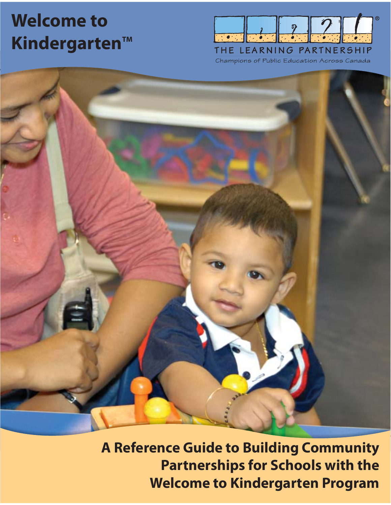# **Welcome to Kindergarten™**



Champions of Public Education Across Canada

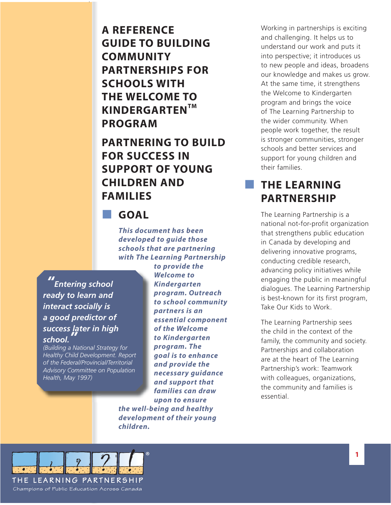**A REFERENCE GUIDE TO BUILDING COMMUNITY PARTNERSHIPS FOR SCHOOLS WITH THE WELCOME TO KINDERGARTENTM PROGRAM**

**PARTNERING TO BUILD FOR SUCCESS IN SUPPORT OF YOUNG CHILDREN AND FAMILIES**

**GOAL**

*This document has been developed to guide those schools that are partnering with The Learning Partnership* 

*" Entering school ready to learn and interact socially is a good predictor of success later in high school. "*

*(Building a National Strategy for Healthy Child Development. Report of the Federal/Provincial/Territorial Advisory Committee on Population Health, May 1997)*

*to provide the Welcome to Kindergarten program. Outreach p to school community partners is an p essential component of the Welcome to Kindergarten program. The p goal is to enhance and provide the necessary guidance and support that families can draw upon to ensure the well-being and healthy development of their young children.*

Working in partnerships is exciting and challenging. It helps us to understand our work and puts it into perspective; it introduces us to new people and ideas, broadens our knowledge and makes us grow. At the same time, it strengthens the Welcome to Kindergarten program and brings the voice of The Learning Partnership to the wider community. When people work together, the result is stronger communities, stronger schools and better services and support for young children and their families.

### **THE LEARNING PARTNERSHIP**

The Learning Partnership is a national not-for-profit organization that strengthens public education in Canada by developing and delivering innovative programs, conducting credible research, advancing policy initiatives while engaging the public in meaningful dialogues. The Learning Partnership is best-known for its first program, Take Our Kids to Work.

The Learning Partnership sees the child in the context of the family, the community and society. Partnerships and collaboration are at the heart of The Learning Partnership's work: Teamwork with colleagues, organizations, the community and families is essential.

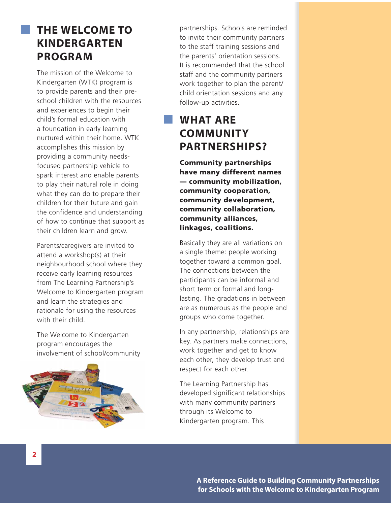### **THE WELCOME TO KINDERGARTEN PROGRAM**

The mission of the Welcome to Kindergarten (WTK) program is to provide parents and their preschool children with the resources and experiences to begin their child's formal education with a foundation in early learning nurtured within their home. WTK accomplishes this mission by providing a community needsfocused partnership vehicle to spark interest and enable parents to play their natural role in doing what they can do to prepare their children for their future and gain the confidence and understanding of how to continue that support as their children learn and grow.

Parents/caregivers are invited to attend a workshop(s) at their neighbourhood school where they receive early learning resources from The Learning Partnership's Welcome to Kindergarten program and learn the strategies and rationale for using the resources with their child.

The Welcome to Kindergarten program encourages the involvement of school/community



partnerships. Schools are reminded to invite their community partners to the staff training sessions and the parents' orientation sessions. It is recommended that the school staff and the community partners work together to plan the parent/ child orientation sessions and any follow-up activities.

# **WHAT ARE COMMUNITY PARTNERSHIPS?**

**Community partnerships have many different names — community mobilization, community cooperation, community development, community collaboration, community alliances, linkages, coalitions.**

Basically they are all variations on a single theme: people working together toward a common goal. The connections between the participants can be informal and short term or formal and longlasting. The gradations in between are as numerous as the people and groups who come together.

In any partnership, relationships are key. As partners make connections, work together and get to know each other, they develop trust and respect for each other.

The Learning Partnership has developed significant relationships with many community partners through its Welcome to Kindergarten program. This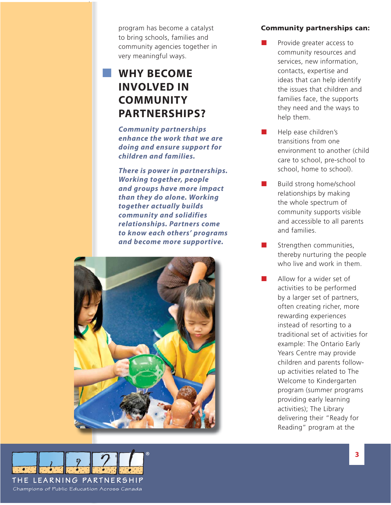program has become a catalyst to bring schools, families and community agencies together in very meaningful ways.

## **WHY BECOME INVOLVED IN COMMUNITY PARTNERSHIPS?**

*Community partnerships enhance the work that we are doing and ensure support for children and families.*

*There is power in partnerships. Working together, people and groups have more impact than they do alone. Working together actually builds community and solidifies relationships. Partners come to know each others' programs and become more supportive.*



### **Community partnerships can:**

- Provide greater access to community resources and services, new information, contacts, expertise and ideas that can help identify the issues that children and families face, the supports they need and the ways to help them.
- Help ease children's transitions from one environment to another (child care to school, pre-school to school, home to school).
- Build strong home/school relationships by making the whole spectrum of community supports visible and accessible to all parents and families.
- Strengthen communities, thereby nurturing the people who live and work in them.
	- Allow for a wider set of activities to be performed by a larger set of partners, often creating richer, more rewarding experiences instead of resorting to a traditional set of activities for example: The Ontario Early Years Centre may provide children and parents followup activities related to The Welcome to Kindergarten program (summer programs providing early learning activities); The Library delivering their "Ready for Reading" program at the

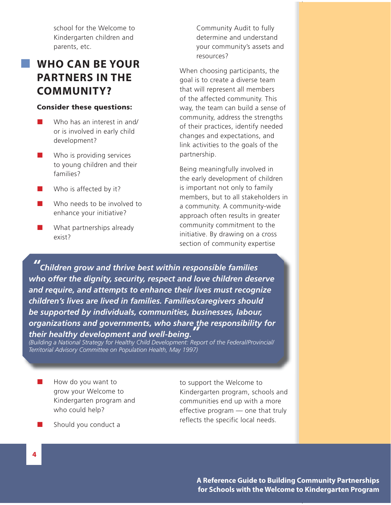school for the Welcome to Kindergarten children and parents, etc.

### **WHO CAN BE YOUR PARTNERS IN THE COMMUNITY?**

#### **Consider these questions:**

- Who has an interest in and/ or is involved in early child development?
- $\blacksquare$  Who is providing services to young children and their families?
- Who is affected by it?
- Who needs to be involved to enhance your initiative?
- **No. 3** What partnerships already exist?

Community Audit to fully determine and understand your community's assets and resources?

When choosing participants, the goal is to create a diverse team that will represent all members of the affected community. This way, the team can build a sense of community, address the strengths of their practices, identify needed changes and expectations, and link activities to the goals of the partnership.

Being meaningfully involved in the early development of children is important not only to family members, but to all stakeholders in a community. A community-wide approach often results in greater community commitment to the initiative. By drawing on a cross section of community expertise

*" Children grow and thrive best within responsible families who offer the dignity, security, respect and love children deserve and require, and attempts to enhance their lives must recognize children's lives are lived in families. Families/caregivers should be supported by individuals, communities, businesses, labour, organizations and governments, who share the responsibility for their healthy development and well-being. "*

*(Building a National Strategy for Healthy Child Development: Report of the Federal/Provincial/ Territorial Advisory Committee on Population Health, May 1997)*

- $\blacksquare$  How do you want to grow your Welcome to Kindergarten program and who could help?
- to support the Welcome to Kindergarten program, schools and communities end up with a more effective program — one that truly reflects the specific local needs.

 $\blacksquare$  Should you conduct a

**4**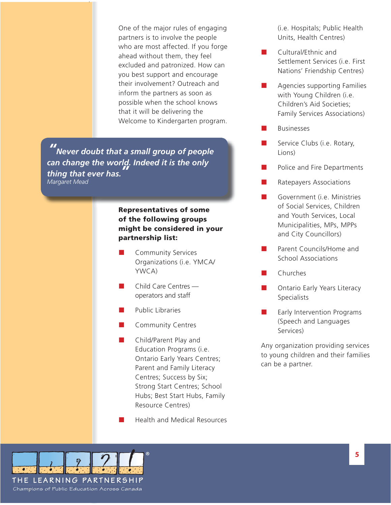One of the major rules of engaging partners is to involve the people who are most affected. If you forge ahead without them, they feel excluded and patronized. How can you best support and encourage their involvement? Outreach and inform the partners as soon as possible when the school knows that it will be delivering the Welcome to Kindergarten program.

*" Never doubt that a small group of people can change the world. Indeed it is the only thing that ever has. " Margaret Mead*

### **Representatives of some f of the following groups might be considered in your partnership list:**

- Community Services Organizations (i.e. YMCA/ YWCA)
- Child Care Centres operators and staff
- Public Libraries
- **Community Centres**
- Child/Parent Play and Education Programs (i.e. Ontario Early Years Centres; Parent and Family Literacy Centres; Success by Six; Strong Start Centres; School Hubs; Best Start Hubs, Family Resource Centres)
- Health and Medical Resources

(i.e. Hospitals; Public Health Units, Health Centres)

- Cultural/Ethnic and Settlement Services (i.e. First Nations' Friendship Centres)
- Agencies supporting Families with Young Children (i.e. Children's Aid Societies; Family Services Associations)
- Businesses
- Service Clubs (i.e. Rotary, Lions)
- Police and Fire Departments
- Ratepayers Associations
- Government (i.e. Ministries of Social Services, Children and Youth Services, Local Municipalities, MPs, MPPs and City Councillors)
- Parent Councils/Home and School Associations
- Churches
- Ontario Early Years Literacy **Specialists**
- Early Intervention Programs (Speech and Languages Services)

Any organization providing services to young children and their families can be a partner.

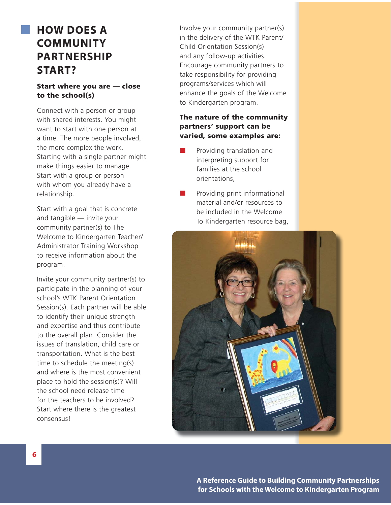# **HOW DOES A COMMUNITY PARTNERSHIP START?**

### **Start where you are — close to the school(s)**

Connect with a person or group with shared interests. You might want to start with one person at a time. The more people involved, the more complex the work. Starting with a single partner might make things easier to manage. Start with a group or person with whom you already have a relationship.

Start with a goal that is concrete and tangible — invite your community partner(s) to The Welcome to Kindergarten Teacher/ Administrator Training Workshop to receive information about the program.

Invite your community partner(s) to participate in the planning of your school's WTK Parent Orientation Session(s). Each partner will be able to identify their unique strength and expertise and thus contribute to the overall plan. Consider the issues of translation, child care or transportation. What is the best time to schedule the meeting(s) and where is the most convenient place to hold the session(s)? Will the school need release time for the teachers to be involved? Start where there is the greatest consensus!

Involve your community partner(s) in the delivery of the WTK Parent/ Child Orientation Session(s) and any follow-up activities. Encourage community partners to take responsibility for providing programs/services which will enhance the goals of the Welcome to Kindergarten program.

### **The nature of the community partners' support can be varied, some examples are:**

- Providing translation and interpreting support for families at the school orientations,
- Providing print informational material and/or resources to be included in the Welcome To Kindergarten resource bag,

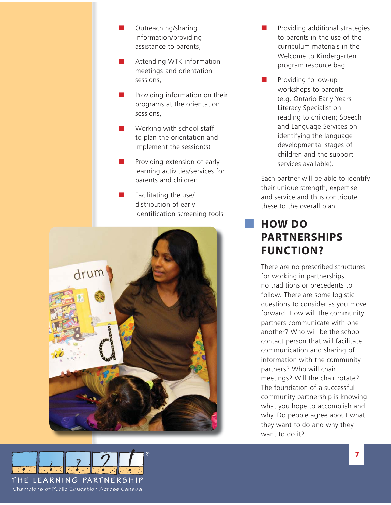- **D** Outreaching/sharing information/providing assistance to parents,
- **Attending WTK information** meetings and orientation sessions,
- Providing information on their programs at the orientation sessions,
- $\blacksquare$  Working with school staff to plan the orientation and implement the session(s)
- $\blacksquare$  Providing extension of early learning activities/services for parents and children
	- Facilitating the use/ distribution of early identification screening tools



- Providing additional strategies to parents in the use of the curriculum materials in the Welcome to Kindergarten program resource bag
- Providing follow-up workshops to parents (e.g. Ontario Early Years Literacy Specialist on reading to children; Speech and Language Services on identifying the language developmental stages of children and the support services available).

Each partner will be able to identify their unique strength, expertise and service and thus contribute these to the overall plan.

# **HOW DO PARTNERSHIPS FUNCTION?**

There are no prescribed structures for working in partnerships, no traditions or precedents to follow. There are some logistic questions to consider as you move forward. How will the community partners communicate with one another? Who will be the school contact person that will facilitate communication and sharing of information with the community partners? Who will chair meetings? Will the chair rotate? The foundation of a successful community partnership is knowing what you hope to accomplish and why. Do people agree about what they want to do and why they want to do it?

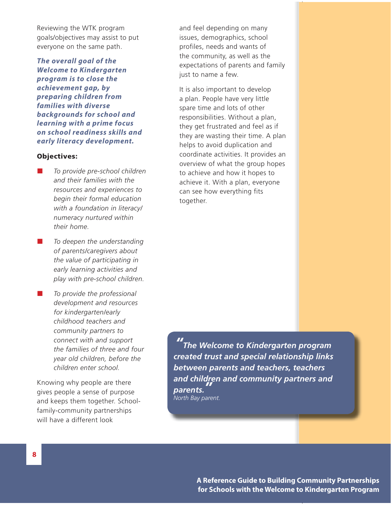Reviewing the WTK program goals/objectives may assist to put everyone on the same path.

*The overall goal of the Welcome to Kindergarten program is to close the achievement gap, by preparing children from families with diverse backgrounds for school and learning with a prime focus on school readiness skills and early literacy development.*

#### **Objectives:**

- *To provide pre-school children and their families with the resources and experiences to begin their formal education with a foundation in literacy/ numeracy nurtured within their home.*
- *To deepen the understanding of parents/caregivers about the value of participating in early learning activities and play with pre-school children.*
- *To provide the professional development and resources for kindergarten/early childhood teachers and community partners to connect with and support the families of three and four year old children, before the children enter school.*

Knowing why people are there gives people a sense of purpose and keeps them together. Schoolfamily-community partnerships will have a different look

and feel depending on many issues, demographics, school profiles, needs and wants of the community, as well as the expectations of parents and family just to name a few.

It is also important to develop a plan. People have very little spare time and lots of other responsibilities. Without a plan, they get frustrated and feel as if they are wasting their time. A plan helps to avoid duplication and coordinate activities. It provides an overview of what the group hopes to achieve and how it hopes to achieve it. With a plan, everyone can see how everything fits together.

*" The Welcome to Kindergarten program created trust and special relationship links between parents and teachers, teachers and children and community partners and parents. " North Bay parent.*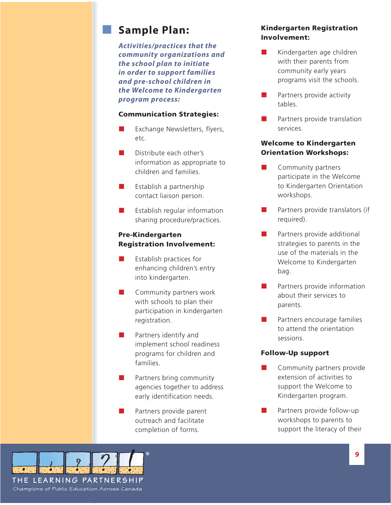### **Sample Plan:**

*Activities/practices that the community organizations and the school plan to initiate in order to support families and pre-school children in the Welcome to Kindergarten program process:*

#### **Communication Strategies:**

- Exchange Newsletters, flyers, etc.
- Distribute each other's information as appropriate to children and families.
- $\blacksquare$  Establish a partnership contact liaison person.
- **E** Establish regular information sharing procedure/practices.

### **Pre-Kindergarten Registration Involvement:**

- Establish practices for enhancing children's entry into kindergarten.
- **Community partners work** with schools to plan their participation in kindergarten registration.
- **Partners identify and** implement school readiness programs for children and families.
- $\blacksquare$  Partners bring community agencies together to address early identification needs.
- **Partners provide parent** outreach and facilitate completion of forms.

### **Kindergarten Registration Involvement:**

- Kindergarten age children with their parents from community early years programs visit the schools.
- Partners provide activity tables.
- Partners provide translation services.

### **Welcome to Kindergarten Orientation Workshops:**

- **Community partners** participate in the Welcome to Kindergarten Orientation workshops.
- Partners provide translators (if required).
- **Partners provide additional** strategies to parents in the use of the materials in the Welcome to Kindergarten bag.
- Partners provide information about their services to parents.
- Partners encourage families to attend the orientation sessions.

#### **Follow-Up support**

- **Community partners provide** extension of activities to support the Welcome to Kindergarten program.
- Partners provide follow-up workshops to parents to support the literacy of their

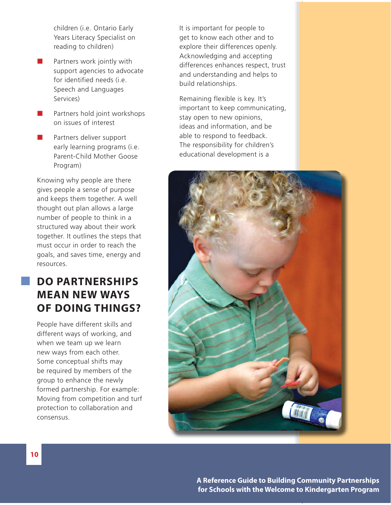children (i.e. Ontario Early Years Literacy Specialist on reading to children)

- $\blacksquare$  Partners work jointly with support agencies to advocate for identified needs (i.e. Speech and Languages Services)
- **Partners hold joint workshops** on issues of interest
- Partners deliver support early learning programs (i.e. Parent-Child Mother Goose Program)

Knowing why people are there gives people a sense of purpose and keeps them together. A well thought out plan allows a large number of people to think in a structured way about their work together. It outlines the steps that must occur in order to reach the goals, and saves time, energy and resources.

# **DO PARTNERSHIPS MEAN NEW WAYS OF DOING THINGS?**

People have different skills and different ways of working, and when we team up we learn new ways from each other. Some conceptual shifts may be required by members of the group to enhance the newly formed partnership. For example: Moving from competition and turf protection to collaboration and consensus.

It is important for people to get to know each other and to explore their differences openly. Acknowledging and accepting differences enhances respect, trust and understanding and helps to build relationships.

Remaining flexible is key. It's important to keep communicating, stay open to new opinions, ideas and information, and be able to respond to feedback. The responsibility for children's educational development is a